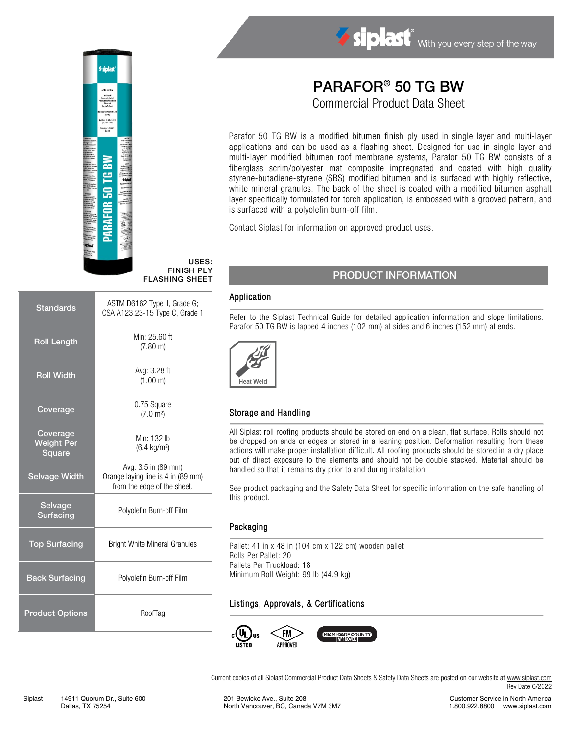

#### USES: FINISH PLY FLASHING SHEET

| <b>Standards</b>                               | ASTM D6162 Type II, Grade G;<br>CSA A123.23-15 Type C, Grade 1                           |
|------------------------------------------------|------------------------------------------------------------------------------------------|
| <b>Roll Length</b>                             | Min: 25.60 ft<br>$(7.80 \text{ m})$                                                      |
| <b>Roll Width</b>                              | Avg: 3.28 ft<br>(1.00 m)                                                                 |
| Coverage                                       | 0.75 Square<br>(7.0 m <sup>2</sup> )                                                     |
| Coverage<br><b>Weight Per</b><br><b>Square</b> | Min: 132 lb<br>$(6.4 \text{ kg/m}^2)$                                                    |
| <b>Selvage Width</b>                           | Avg. 3.5 in (89 mm)<br>Orange laying line is 4 in (89 mm)<br>from the edge of the sheet. |
| <b>Selvage</b><br><b>Surfacing</b>             | Polyolefin Burn-off Film                                                                 |
| <b>Top Surfacing</b>                           | <b>Bright White Mineral Granules</b>                                                     |
| <b>Back Surfacing</b>                          | Polyolefin Burn-off Film                                                                 |
| <b>Product Options</b>                         | RoofTag                                                                                  |

# PARAFOR® 50 TG BW Commercial Product Data Sheet

Siplast With you every step of the way

Parafor 50 TG BW is a modified bitumen finish ply used in single layer and multi-layer applications and can be used as a flashing sheet. Designed for use in single layer and multi-layer modified bitumen roof membrane systems, Parafor 50 TG BW consists of a fiberglass scrim/polyester mat composite impregnated and coated with high quality styrene-butadiene-styrene (SBS) modified bitumen and is surfaced with highly reflective, white mineral granules. The back of the sheet is coated with a modified bitumen asphalt layer specifically formulated for torch application, is embossed with a grooved pattern, and is surfaced with a polyolefin burn-off film.

Contact Siplast for information on approved product uses.

## PRODUCT INFORMATION

#### Application

Refer to the Siplast Technical Guide for detailed application information and slope limitations. Parafor 50 TG BW is lapped 4 inches (102 mm) at sides and 6 inches (152 mm) at ends.



## Storage and Handling

All Siplast roll roofing products should be stored on end on a clean, flat surface. Rolls should not be dropped on ends or edges or stored in a leaning position. Deformation resulting from these actions will make proper installation difficult. All roofing products should be stored in a dry place out of direct exposure to the elements and should not be double stacked. Material should be handled so that it remains dry prior to and during installation.

See product packaging and the Safety Data Sheet for specific information on the safe handling of this product.

#### Packaging

Pallet: 41 in x 48 in (104 cm x 122 cm) wooden pallet Rolls Per Pallet: 20 Pallets Per Truckload: 18 Minimum Roll Weight: 99 lb (44.9 kg)

#### Listings, Approvals, & Certifications



Current copies of all Siplast Commercial Product Data Sheets & Safety Data Sheets are posted on our website at [www.siplast.com](http://www.siplast.com/) Rev Date 6/2022